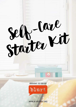*[WWW.BLURTITOUT.ORG](http://www.blurtitout.org)*



*BROUGHT TO YOU BY*

Self-lave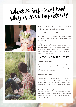# What is Self-Care? And<br>Why is it so Important?



Self-care is the actions we undertake to look after ourselves, physically, emotionally and mentally.

It incorporates the essential acts of care that we all need to focus on – like eating well, keeping ourselves clean and getting enough sleep.

On top of that though, self-care is what nourishes us personally: the things we do that comfort us, calm us, and make us feel good. These will vary from person to person you might be drawn to creative activities, physical pursuits, mindfulness techniques, a combination of all three or something different altogether.

# *WHY IS SELF-CARE SO IMPORTANT?*

#### 1. It's good for our health

Some self-care activities have physical benefits that can help our mental health. Exercise, for example, instantly triggers endorphins, and taken regularly can offer a whole host of mood-boosting benefits.

#### 2. It's good for our hearts

Self-care can also positively impact on our emotional wellness. Some self-care activities can directly impact on the stuff that brings us down. For example, decluttering our surroundings can leave us feeling lighter. Practising selfcompassion can boost our self-esteem.

It sounds basic, but doing things that make us feel good, makes us feel good. Even if we can only do the tiniest thing, and even if that tiniest thing only opens the teeniest-tiniest chink of light within the black fug of our depression, we've still made progress.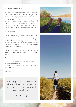#### 3. It reminds us we are worthy

Our thoughts can be cruel: they sometimes tell us we don't matter, even though we really, really do. By prioritising selfcare – taking time out to do something just for us – we counter those negative thoughts. We're showing them that actually, WE ARE worthy of attention and care. By prioritising self-care, we remind ourselves that we are worthy. And though initially we may feel some resistance to this (sadly, self-worth sadly can't be magicked out of the air), the more we practice self-care, the more we'll believe in our worth too.

#### 4. It empowers us

Although medical and therapeutic assistance are vitally important in treating illnesses like depression, self-care is extremely helpful too. And whereas we're not always in control of the outside help we get – we rely on our doctors to make the correct choices about medication, we may need referrals or be on waiting lists for treatment – we can take control of our own self-care.

Making positive choices around our self-care is empowering. We show our depression, and ourselves, that we are still in charge.

#### 5. You can start now

Self-care is accessible to everyone, and even the smallest acts make a big difference.

In fact, downloading this Self-Care Starter Kit counts as an act of self-care.

*You've started.*

Nourishing yourself in a way that helps you blossom in the direction you want to go is attainable, and you are worth the effort.

# Deborah Day



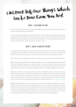# 5 Instant Self-Care Things Which

# *IDEA 1: BE KIND TO YOU*

Do you find yourself apologising for everything? Beating yourself up for past mistakes? Being much kinder to others than you are to yourself?

It's not an easy feat, but please try and be kind to you - be as patient, understanding and accepting of yourself as you are of others. It's not easy to change a habit, for some a habit of a lifetime, but we really do need to try and take care of the way we treat ourselves. That's the very essence of self-care, being mindful of how our words and actions can harm or heal.

# *IDEA 2: HAVE A DIGITAL DETOX*

Are there updates which appear in your Facebook feed which make your heart sink a little? Perhaps you follow so many people on Twitter that you can't keep up with it. Do you have an overflowing inbox, full of emails? Do the alerts on your phone interrupt your day or make you feel anxious?

1) Go through the list of people you follow on Twitter and only follow those who really interest you.

2) Use Facebook's 'unfollow' feature to remove updates from your feed which make you do anything other than smile/learn/feel good. You know the ones – those which make you feel below par, less of a person. The ones which kick-start comparison and the 'coulda, shoulda, woulda' thoughts. This feature allows you to remain friends with people but stops their updates popping up in your feed.

3) We can often find ourselves subscribed to dozens of newsletters. We don't know about you but we really notice this over any Christmas period when our normal email traffic is slower as people are off work. Every day, we had dozens of emails (most of which we don't remember signing up to receive) and so we spent some time unsubscribing or setting up email filters so that they no longer clog up our inbox. There's a really good programme to make this easier to do --> <https://unroll.me/>

4) Apps can be fantastic, they allow us to do so much from our smartphones and keep us connected. However, the notifications can be disruptive and cause anxiety. Consider changing the alerts in your phone settings. We've turned off notifications for all apps, including our personal social media networks. This means we have to mindfully check in to the sites rather than feeling demanded to do so because of a flashing light/alert. It means we can also focus more on whatever it is we're doing (work, spending time with family, sleep) and gives us some much needed headspace.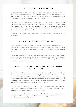#### *IDEA 3: DEVELOP A BEDTIME ROUTINE*

Sleep plays such a pivotal role in our wellbeing. It's when our body gets the chance to repair and our brain gets the chance to file away the events of the day. So many of us struggle with getting a good night's sleep. As babies, our parents and carers are actively encouraged to develop sleep routines for us, developing cues so that we would know it was time bed.

How can you develop a routine for yourself? Can you go to bed the same time every night? Perhaps a warm milk before bed? A vow to turn your phone off an hour before you want to go to sleep? Soothing music might help too. Part of your routine might include proper rest breaks throughout the day to allow your brain to digest things as the day progresses, rather than when your head hits the pillow and you experience that 'wired' feeling.

We interviewed neurologist Dr Kirstie Anderson about the role sleep plays in our mental health. You can listen [here](https://www.blurtitout.org/podcast/3-why-sleep-is-important/).

# *IDEA 4: WRITE YOURSELF A LETTER AND POST IT*

Be a friend to you. Write a letter to you with the same words of kindness and general loveliness that you would write to another person. It's not easy to do and it might be that you instead, find a really lovely quote instead. If you're anything like us, you'll forget you've done this and it will be a lovely surprise.

Another thing you could try if your email provider supports it, is to email yourself some positive affirmations/words of encouragement and schedule them to arrive at ad-hoc dates. We use a Gmail add-on called Gmail Boomerang. Boomerang allows you to schedule when you'll receive those emails. They'll be a welcome surprise in your inbox.

#### *IDEA 5: PRACTISE SAYING 'NO' TO THE THINGS YOU REALLY WANT TO SAY 'NO' TO.*

This is a tricky one. Depression can make us really dislike ourselves. Some may start looking to others for approval and then find themselves saying 'yes' to every demand on their time, bending over backwards to be as helpful and accommodating to others as possible. It can be exhausting. We may also find we're agreeing to do things for others that we really can't be bothered to do, but we feel we ought to do. Other people's expectations of us can weigh heavy, we don't want to let people down, we don't want people to dislike us and we want to feel useful.

Doing something for someone else is a gift of your time, energy and commitment. It's a gift from you, to them. First and foremost, you are important. Your needs are a priority. Make sure that when you are agreeing to do something, you're not saying 'no' to you.

Take a look at your boundaries and how you can assert them. Take time to consider how things 'feel' too. If you feel taken advantage of, resentful, frustrated and angry, then those are cues that your boundaries may have gone a little wonky.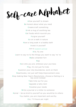Self-care Alphabet

Allow yourself to dream Be honest about what you need Create/craft something Drink a mug of soothing tea Eat foods which nourish you Forgive yourself Go on a walk in nature Have a long soak in a bubbly bath Invest in yourself Join a [support group](https://www.blurtitout.org/what-we-do/peer-support/)

Kite, fly one

Learn to say no to the things you want to say 'no' to

Make a blanket fort

**N**ap

Own who you are, embrace your you'ness Play, it's not just for kids Question your icky boundaries, work on them Read books, not just self-help/improvement ones Stop making New Year's Resolutions, choose a feeling or a key word instead Take time out for you Upgrade a tatty item Vocalise your needs Write a journal or a letter to someone Xenial – be as kind to yourself as you would be to others You matter, you are important and worthy Zzz, 7-9 hours per night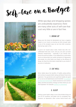# Self-Care on a Budget



While spa days and shopping sprees are undoubtedly expensive, there are many other acts of self-care that cost very little or are in fact free.

# *1. DRINK UP*

Being even the tiniest bit dehydrated can have a negative impact on our mood, so ensuring we drink enough water is one of the simplest ways we can look after ourselves. Normal tap water is fine.

If you're not fussed about water, herbal teas (the noncaffeinated kind) also count, and you can pick up boxes relatively inexpensively – especially if you choose ownbrand over premium labels. As an added bonus, some herbs (such as chamomile) can soothe symptoms of depression and anxiety. As a few herbs can impact on the efficacy of drugs, do check the information sheet/talk to your doctor if you are on medication.

# *2. EAT WELL*

We've talked about the benefits of healthy eating before, and contrary to popular belief, eating well doesn't have to be expensive. Yes goji berries and superfood salads are good for us, but so are baked beans and tinned fish! [Our podcast](https://www.blurtitout.org/podcast/episode-one-lucy-jones/) [on food and mental health](https://www.blurtitout.org/podcast/episode-one-lucy-jones/) shares several low-cost nutrition ideas, and there are plenty of blogs out there where you can find inspiration: for example [Cooking on a Bootstrap.](https://cookingonabootstrap.com/)

# *3. SLEEP*

Getting a good night's sleep is one of the kindest things we can do for ourselves, and better still it's completely free. However, as depression often comes hand-in-hand with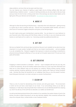sleep problems, we know that can be easier said than done.

You can improve your chances of getting a good night's kip by limiting caffeine after 2pm and implementing a 'bedtime routine' – a series of calming activities you do every night to tell your body and your brain it's time for bed. Limiting screen time in the evenings can also be really helpful, as the light given off by your devices can be disruptive. [Our podcast on sleep explains more.](https://www.blurtitout.org/podcast/3-why-sleep-is-important/)

#### *4. MOVE IT*

Although it's often the last thing we feel like doing – especially when we're depressed – getting moving is a great way to show ourselves self-care. Exercise has innumerable health benefits, and even a short burst of movement triggers endorphins and gives us that feel good glow.

You don't need a pricey gym membership to exercise either. You can dance to in your bedroom to your favourite tunes, follow along with free fitness videos on YouTube, or you can simply pop some trainers on and head out for a walk or run. Exercising outside has additional benefits too.

#### *5. GET OUT*

We love our blanket forts and duvet days (sometimes they are much needed), but we also know how important it is to get outside. Sunlight and fresh air are instant mood-boosters – and are available to us all, completely free. Research suggests that exposure to natural surroundings is beneficial to physical and psychological wellbeing, so if you can get out into green space (even if it's just your local park) all the better.

#### *6. GET CREATIVE*

Engaging in creative activities is a fantastic – and fun – way to integrate self-care into your day, and it needn't be expensive. We are all innately creative (even those of us who may think otherwise!) and there are so many different ways we can express our creativity. Writing, knitting, sewing, singing, cooking, painting, sculpting, gardening, restoring furniture, playing with make-up, writing computer code… activities like these are beneficial for our wellbeing: they bring us into the present moment, boost feel-good chemicals in our brain, and give us a sense of achievement.

# *7. CLEAN UP*

There is a bit of a trend for decluttering at the moment, and with good reason. The environment in which we live can have a real impact on our mood. If our surroundings stress us out, take up headspace, or make day-to-day living harder than it needs to be, we can definitely benefit from clearing up. (And if we sell any of the stuff that we declutter, our wallets can benefit too!)

As well as decluttering physical items (the contents of our wardrobe, the random drawer of junk in the kitchen, the piles of paper lying about), we can also declutter digitally: think unwanted software that slows the computer down, unread emails or even Facebook friends.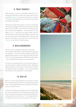# *8. TREAT YOURSELF*

While clearing up can be undoubtedly helpful, there \*is\* something lovely about having new things (that's why we created the [BuddyBox](https://www.blurtitout.org/BuddyBox)!). Of course when we're on a budget, it's not wise to buy stuff willy nilly, but there are ways to get new things on the cheap.

Libraries are a good starting point: if you can't concentrate on books (we struggle to read when we're unwell), there are audio books and DVDs. Plus some local libraries reduce fees for those with disabilities – worth looking into if that applies to you. Then there are charity shops: you'll be surprised by some of the awesome things you can find, and you can treat yourself while helping others. There are also bargains and freebies to be found online: look at sites like [Freecycle](https://www.freecycle.org/) or community Facebook groups.

#### *9. BUILD BOUNDARIES*

Those of us who struggle with depression often have issues with low self-esteem, and look externally for approval and validation. If you find yourself regularly putting other people's needs before your own -saying 'yes' when you want to say 'no', exhausting yourself to fulfil other's expectations – you may benefit from working on your boundaries.

You are most important person in your life (yes, really!), so you need to learn to make your needs a priority. Addressing wonky boundaries can feel like a scary task but you'll feel the benefits almost immediately. And of course looking after yourself in this way doesn't cost financially.

#### *10. REST UP*

Many of us have high expectations of ourselves, and feel like we should always be productive: always giving, always doing. Continually putting stress on ourselves in this way is a sure fire road to burnout.

As hard as it might feel sometimes, one of the best things you can do for yourself is STOP. Really. Allow yourself to just be. Run yourself a lovely bath, lie on the floor and stare at the ceiling, watch some nonsense on TV. Letting yourself rest is a fantastic act of self-care, and it doesn't cost a penny.



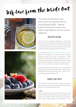# Self-Care from the Inside Out



The foods we eat play a vital role in both our physical and our psychological health. Making positive nutritional choices can make a real difference to our overall wellbeing.

# *HEALTHY EATING*

There are a lot of conflicting messages out there about what is meant by healthy eating: traditionally, the focus was on limiting calories, then came the low-carb high-protein trend, and now there are innumerable health gurus out there singing the praises of spirulina and kale smoothies.

In our podcast on [The Role Food Plays in our Mental Health](https://www.blurtitout.org/podcast/episode-one-lucy-jones/), award-winning dietician Lucy Jones warns us against getting too caught up in such "food fashions". Eating healthily needn't be complicated, overwhelming or costly. Instead we should focus on regularly consuming a variety of nutrient-rich, wholesome foods from the groups we list below. As a rule, the less processed our food, the better.

Improving our diet won't reap instant results, but consistently eating good quality foods WILL lead to an improvement in mental function, mood and energy levels – which, in turn, can lessen the impact of depression.

# *FOODS THAT HELP*

The Association of British Dietitians recommends that to help boost mood and energy, our diets should principally be made up of the following types of food:

#### **1. FATS**

Yes you read that right: fat is our friend! Our brains are made of around 40% fat, and we need an adequate supply of it to maintain good health. However, before we crack open the cream cakes we should note it is unsaturated fat – found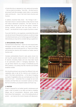in foods like olive or rapeseed oil, nuts, seeds and avocados – that we need to be eating. Trans fats – the fats found in processed foods like sausages, ready meals, or pre-packed cakes and biscuits – may in fact harm brain structure and function.

In addition, Essential Fatty Acids – the "Omega 3 oils" – have been shown in several studies to help improve mood and reduce depressive symptoms. The best sources of essential fatty acids are oily fish like salmon, mackerel, herring, sardines, pilchards and trout (fresh, tinned or frozen) – we should aim to eat a couple of portions a week.

If you don't like fish, or are vegetarian, essentially fatty acids can also be found in flaxseed and walnuts, as well as omega 3 fortified foods (look out for fortified eggs and fishfingers). Alternatively you may wish to consider taking a supplement.

#### **2. WHOLEGRAINS, FRUIT & VEG**

The best food is whole food – food in its most natural state. Wholegrain cereals, beans, lentils, nuts, seeds, fruits and vegetables are enormously good for us. They're full of fibre, and provide the vitamins and minerals our bodies need to function well.

Complex carbohydrates (found in oats, grains, brown rice and veg like squash) release serotonin in the brain, while B vitamins (including folate) and zinc have been found to be particularly useful in managing depression. You can get these vitamins via a range of wholefoods (as the NHS outlines), or by eating food like marmite and fortified breakfast cereals.

We should be aiming to eat at least five different fruits and vegetables daily to get all the vitamins and minerals we need. If this feels overwhelming – or the idea of chopping up loads of vegetables when you can barely get out of bed feels a bit much – remember this is a target we can work towards, and that there are 'convenient' options out there, like fruit smoothies, pre-prepared salads and frozen veg.

#### **3. PROTEIN**

Protein is required for our bodies' growth, maintenance and repair; a lack of protein in our diets can lead to irritability, fatigue, lack of concentration. Moreover, some studies have shown that tryptophan – one of the building blocks of protein – can improve the mood of people with depression.

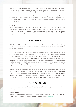Most people correctly associate animal-derived food – meat, fish, shellfish, eggs and dairy products – as rich in protein; however plant-based foods like lentils, beans, nuts and seeds, as well as some vegetables (such soy beans, peas and broccoli) are also good sources of protein.

Iron deficiency – or anaemia – can also affect your mood and energy levels, so it's important to eat foods that contain iron. Red meat is the most effective source of iron, but you can also get it by eating plant proteins like beans and lentils, as well as dried apricots, dark chocolate (yum!) and fortified breakfast cereals.

#### **4. WATER**

Although not technically a food, water plays a huge role in our brain function. The European Food Safety Authority recommends we drink around 2 litres of water a day (you can find out the precise amount you need using the Hydration 4 Health calculator). Not drinking enough water affects our concentration, our memory and learning ability; even the slightest case of dehydration can have a negative impact on our mood.

#### *FOODS THAT HINDER*

At Blurt, we don't believe in denial (we have enough difficulties in our lives without adding to them!), but there are some foods we should seek to limit due to their low nutritional content and the affects they have on our system.

Caffeine and Alcohol are both dehydrating – especially when drunk in large quantities – and can disrupt our sleep patterns. Caffeine withdrawal symptoms can make us feel anxious, irritable and low, and drinking too much can deplete our iron and calcium levels. Drinking too much alcohol comes with its own host of problems, including the depletion of B vitamins, which again leads to low mood. Sugar is another food we should avoid consuming in large quantities. Eating lots of sugar spikes our blood sugar levels, which leads to feelings of fatigue and irritability when our glucose drops (ever heard the phrase "sugar coma"?). Again, too much sugar has also been linked to depression as the body uses up essential B Vitamins to process the sugar into energy.

Although undoubtedly convenient, most processed foods (foods that come pre-prepared in packages, like ready meals or biscuits) have limited nutritional value. Eat as many fresh foods as possible to supply your brain with the micronutrients it needs to function properly. We are not suggesting you cut these foods out of your diet completely (we like a cup of tea and a french fancy as much as the next person!), but they should be consumed in moderation, alongside more brain-boosting treats.

#### *WELLBEING BOOSTERS*

As well as eating a wide range of healthy foods, there are a few other things we can do maximise our wellbeing.

#### **EAT REGULARLY**

Although what we eat is important, when we eat is even more crucial for our wellbeing. Eating little and often is the name of the game. As Lucy Jones explains in our [food podcast:](https://www.blurtitout.org/podcast/episode-one-lucy-jones/)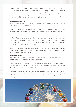*"The first thing to think about, rather than the specific foods that we should be eating, is the way we should be eating. Eating a regular meal pattern can play a big role in improving energy levels, brain function, concentration and ability to remember things. Actually getting up and getting into a regular meal pattern through the day gives your brain a constant supply of energy from the food that you eat. We know that long periods of fasting can actually negatively affect our mood and our energy levels leaving people sort of distracted and less productive through the day".*

#### **CONSIDER SUPPLEMENTS**

Although a varied diet can supply our bodies with all the goodness it needs, in some cases a nutritional supplement may be helpful. As the BDA outlines:

If you have not been eating well recently, or rely on ready meals and packaged foods regularly, you may be lacking certain vitamins and minerals. If you smoke or drink too much alcohol you may also need extra nutrients.

If so, you may want to take a one-a-day complete multivitamin and mineral supplement. These contain a full range of all the essential nutrients. Choose one that contains 100% of recommended daily intakes. Very high dose supplements (more than 100%) are not more effective than these and just cost extra money. They may even cause an increased risk of ill health. Vitamin A and E supplements in particular are not recommended for smokers.

Recent research has also shown that folate (one of the B vitamins) supplements may increase the effectiveness of antidepressant medication. If you are thinking about taking any additional nutrient supplements ask your doctor for advice.

#### **BE GOOD TO YOURSELF**

While eating healthily can help calm depressive symptoms, making radical lifestyle changes can be daunting, especially when we're in the depths of depression.

If reading this section has inspired you to improve your diet, remember you don't need to overhaul everything all at once. You can start small: maybe by ensuring you eat one piece of fruit a day, and then – when that becomes a habit – introducing another.

Celebrate your successes – however small – but don't berate yourself for 'slip-ups'. Remember the motivation behind eating healthily is feeling good. If being mindful of your diet leaves you feeling 'bad' or dispirited or guilty, shift your focus elsewhere: depression gives us a hard enough time as it is. Your wellbeing is what is most important.